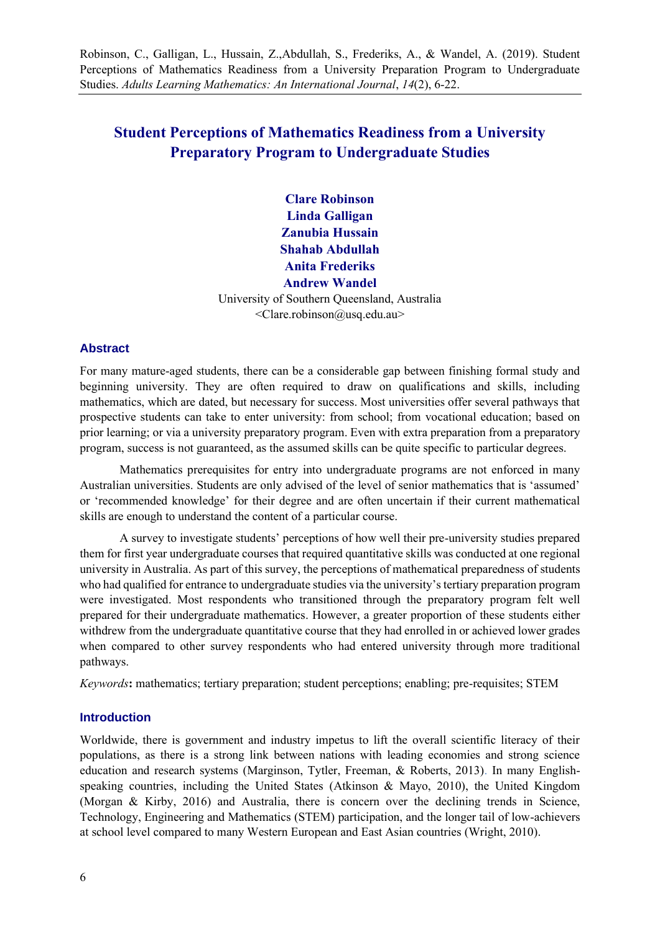Robinson, C., Galligan, L., Hussain, Z.,Abdullah, S., Frederiks, A., & Wandel, A. (2019). Student Perceptions of Mathematics Readiness from a University Preparation Program to Undergraduate Studies. *Adults Learning Mathematics: An International Journal*, *14*(2), 6-22.

# **Student Perceptions of Mathematics Readiness from a University Preparatory Program to Undergraduate Studies**

**Clare Robinson Linda Galligan Zanubia Hussain Shahab Abdullah Anita Frederiks Andrew Wandel** University of Southern Queensland, Australia <Clare.robinson@usq.edu.au>

#### **Abstract**

For many mature-aged students, there can be a considerable gap between finishing formal study and beginning university. They are often required to draw on qualifications and skills, including mathematics, which are dated, but necessary for success. Most universities offer several pathways that prospective students can take to enter university: from school; from vocational education; based on prior learning; or via a university preparatory program. Even with extra preparation from a preparatory program, success is not guaranteed, as the assumed skills can be quite specific to particular degrees.

Mathematics prerequisites for entry into undergraduate programs are not enforced in many Australian universities. Students are only advised of the level of senior mathematics that is 'assumed' or 'recommended knowledge' for their degree and are often uncertain if their current mathematical skills are enough to understand the content of a particular course.

A survey to investigate students' perceptions of how well their pre-university studies prepared them for first year undergraduate courses that required quantitative skills was conducted at one regional university in Australia. As part of this survey, the perceptions of mathematical preparedness of students who had qualified for entrance to undergraduate studies via the university's tertiary preparation program were investigated. Most respondents who transitioned through the preparatory program felt well prepared for their undergraduate mathematics. However, a greater proportion of these students either withdrew from the undergraduate quantitative course that they had enrolled in or achieved lower grades when compared to other survey respondents who had entered university through more traditional pathways.

*Keywords***:** mathematics; tertiary preparation; student perceptions; enabling; pre-requisites; STEM

#### **Introduction**

Worldwide, there is government and industry impetus to lift the overall scientific literacy of their populations, as there is a strong link between nations with leading economies and strong science education and research systems (Marginson, Tytler, Freeman, & Roberts, 2013). In many Englishspeaking countries, including the United States (Atkinson & Mayo, 2010), the United Kingdom (Morgan & Kirby, 2016) and Australia, there is concern over the declining trends in Science, Technology, Engineering and Mathematics (STEM) participation, and the longer tail of low-achievers at school level compared to many Western European and East Asian countries (Wright, 2010).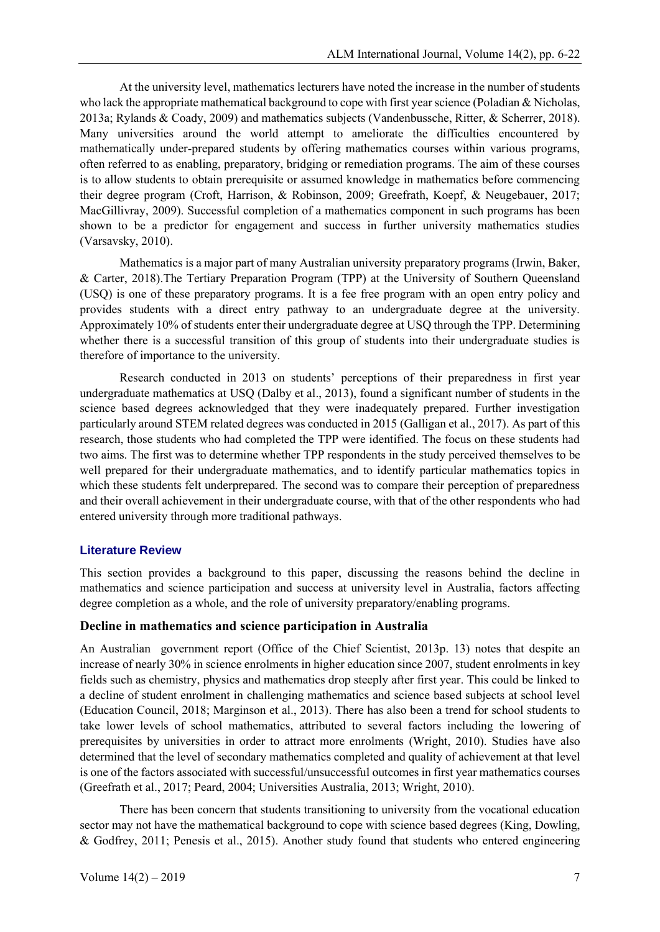At the university level, mathematics lecturers have noted the increase in the number of students who lack the appropriate mathematical background to cope with first year science (Poladian & Nicholas, 2013a; Rylands & Coady, 2009) and mathematics subjects (Vandenbussche, Ritter, & Scherrer, 2018). Many universities around the world attempt to ameliorate the difficulties encountered by mathematically under-prepared students by offering mathematics courses within various programs, often referred to as enabling, preparatory, bridging or remediation programs. The aim of these courses is to allow students to obtain prerequisite or assumed knowledge in mathematics before commencing their degree program (Croft, Harrison, & Robinson, 2009; Greefrath, Koepf, & Neugebauer, 2017; MacGillivray, 2009). Successful completion of a mathematics component in such programs has been shown to be a predictor for engagement and success in further university mathematics studies (Varsavsky, 2010).

Mathematics is a major part of many Australian university preparatory programs (Irwin, Baker, & Carter, 2018).The Tertiary Preparation Program (TPP) at the University of Southern Queensland (USQ) is one of these preparatory programs. It is a fee free program with an open entry policy and provides students with a direct entry pathway to an undergraduate degree at the university. Approximately 10% of students enter their undergraduate degree at USQ through the TPP. Determining whether there is a successful transition of this group of students into their undergraduate studies is therefore of importance to the university.

Research conducted in 2013 on students' perceptions of their preparedness in first year undergraduate mathematics at USQ (Dalby et al., 2013), found a significant number of students in the science based degrees acknowledged that they were inadequately prepared. Further investigation particularly around STEM related degrees was conducted in 2015 (Galligan et al., 2017). As part of this research, those students who had completed the TPP were identified. The focus on these students had two aims. The first was to determine whether TPP respondents in the study perceived themselves to be well prepared for their undergraduate mathematics, and to identify particular mathematics topics in which these students felt underprepared. The second was to compare their perception of preparedness and their overall achievement in their undergraduate course, with that of the other respondents who had entered university through more traditional pathways.

### **Literature Review**

This section provides a background to this paper, discussing the reasons behind the decline in mathematics and science participation and success at university level in Australia, factors affecting degree completion as a whole, and the role of university preparatory/enabling programs.

### **Decline in mathematics and science participation in Australia**

An Australian government report (Office of the Chief Scientist, 2013p. 13) notes that despite an increase of nearly 30% in science enrolments in higher education since 2007, student enrolments in key fields such as chemistry, physics and mathematics drop steeply after first year. This could be linked to a decline of student enrolment in challenging mathematics and science based subjects at school level (Education Council, 2018; Marginson et al., 2013). There has also been a trend for school students to take lower levels of school mathematics, attributed to several factors including the lowering of prerequisites by universities in order to attract more enrolments (Wright, 2010). Studies have also determined that the level of secondary mathematics completed and quality of achievement at that level is one of the factors associated with successful/unsuccessful outcomes in first year mathematics courses (Greefrath et al., 2017; Peard, 2004; Universities Australia, 2013; Wright, 2010).

There has been concern that students transitioning to university from the vocational education sector may not have the mathematical background to cope with science based degrees (King, Dowling, & Godfrey, 2011; Penesis et al., 2015). Another study found that students who entered engineering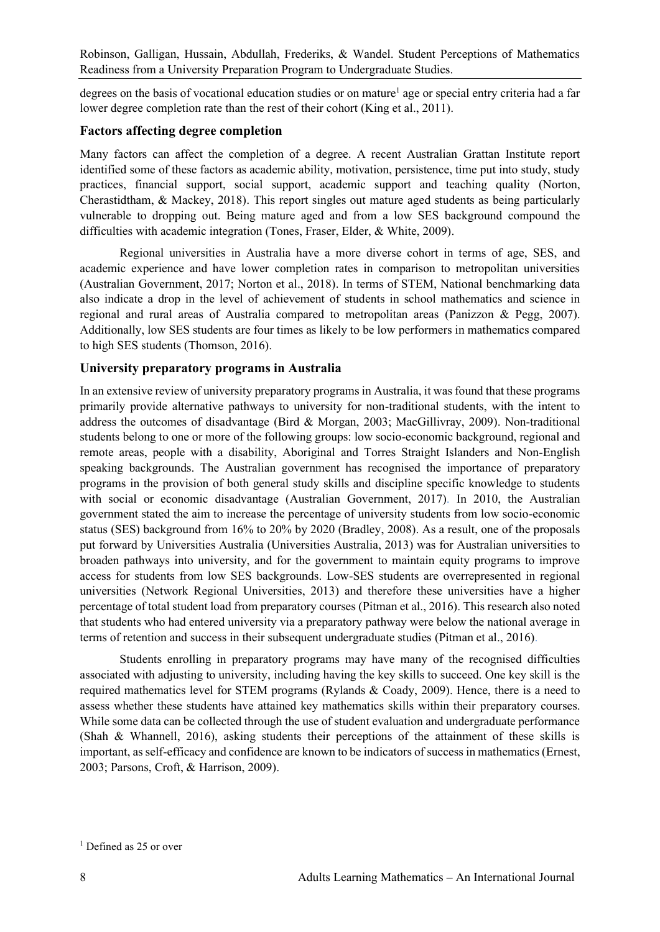degrees on the basis of vocational education studies or on mature<sup>1</sup> age or special entry criteria had a far lower degree completion rate than the rest of their cohort (King et al., 2011).

#### **Factors affecting degree completion**

Many factors can affect the completion of a degree. A recent Australian Grattan Institute report identified some of these factors as academic ability, motivation, persistence, time put into study, study practices, financial support, social support, academic support and teaching quality (Norton, Cherastidtham, & Mackey, 2018). This report singles out mature aged students as being particularly vulnerable to dropping out. Being mature aged and from a low SES background compound the difficulties with academic integration (Tones, Fraser, Elder, & White, 2009).

Regional universities in Australia have a more diverse cohort in terms of age, SES, and academic experience and have lower completion rates in comparison to metropolitan universities (Australian Government, 2017; Norton et al., 2018). In terms of STEM, National benchmarking data also indicate a drop in the level of achievement of students in school mathematics and science in regional and rural areas of Australia compared to metropolitan areas (Panizzon & Pegg, 2007). Additionally, low SES students are four times as likely to be low performers in mathematics compared to high SES students (Thomson, 2016).

#### **University preparatory programs in Australia**

In an extensive review of university preparatory programs in Australia, it was found that these programs primarily provide alternative pathways to university for non-traditional students, with the intent to address the outcomes of disadvantage (Bird & Morgan, 2003; MacGillivray, 2009). Non-traditional students belong to one or more of the following groups: low socio-economic background, regional and remote areas, people with a disability, Aboriginal and Torres Straight Islanders and Non-English speaking backgrounds. The Australian government has recognised the importance of preparatory programs in the provision of both general study skills and discipline specific knowledge to students with social or economic disadvantage (Australian Government, 2017). In 2010, the Australian government stated the aim to increase the percentage of university students from low socio-economic status (SES) background from 16% to 20% by 2020 (Bradley, 2008). As a result, one of the proposals put forward by Universities Australia (Universities Australia, 2013) was for Australian universities to broaden pathways into university, and for the government to maintain equity programs to improve access for students from low SES backgrounds. Low-SES students are overrepresented in regional universities (Network Regional Universities, 2013) and therefore these universities have a higher percentage of total student load from preparatory courses (Pitman et al., 2016). This research also noted that students who had entered university via a preparatory pathway were below the national average in terms of retention and success in their subsequent undergraduate studies (Pitman et al., 2016).

Students enrolling in preparatory programs may have many of the recognised difficulties associated with adjusting to university, including having the key skills to succeed. One key skill is the required mathematics level for STEM programs (Rylands & Coady, 2009). Hence, there is a need to assess whether these students have attained key mathematics skills within their preparatory courses. While some data can be collected through the use of student evaluation and undergraduate performance (Shah & Whannell, 2016), asking students their perceptions of the attainment of these skills is important, as self-efficacy and confidence are known to be indicators of success in mathematics (Ernest, 2003; Parsons, Croft, & Harrison, 2009).

<sup>&</sup>lt;sup>1</sup> Defined as 25 or over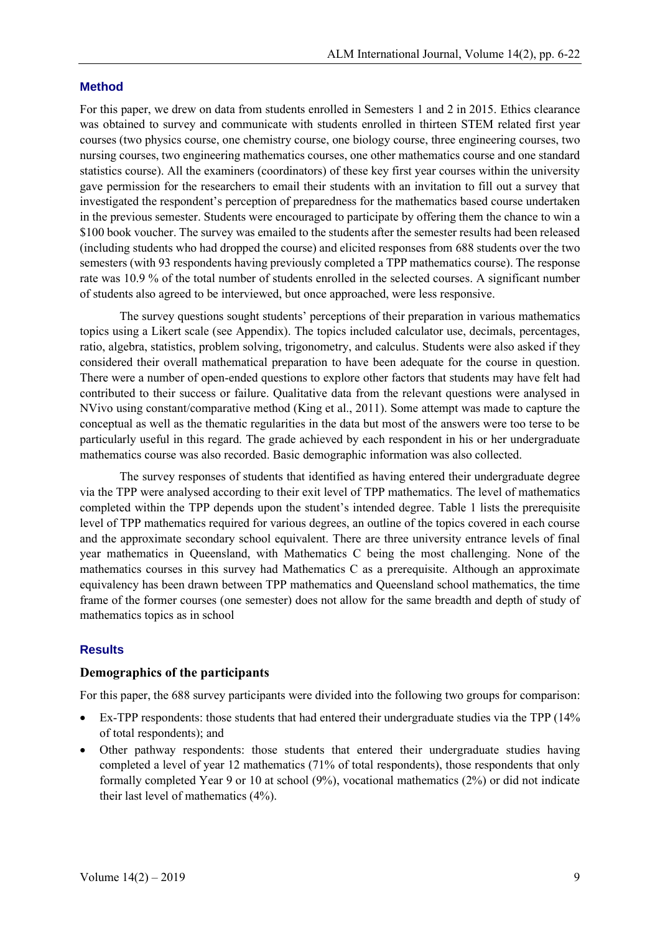#### **Method**

For this paper, we drew on data from students enrolled in Semesters 1 and 2 in 2015. Ethics clearance was obtained to survey and communicate with students enrolled in thirteen STEM related first year courses (two physics course, one chemistry course, one biology course, three engineering courses, two nursing courses, two engineering mathematics courses, one other mathematics course and one standard statistics course). All the examiners (coordinators) of these key first year courses within the university gave permission for the researchers to email their students with an invitation to fill out a survey that investigated the respondent's perception of preparedness for the mathematics based course undertaken in the previous semester. Students were encouraged to participate by offering them the chance to win a \$100 book voucher. The survey was emailed to the students after the semester results had been released (including students who had dropped the course) and elicited responses from 688 students over the two semesters (with 93 respondents having previously completed a TPP mathematics course). The response rate was 10.9 % of the total number of students enrolled in the selected courses. A significant number of students also agreed to be interviewed, but once approached, were less responsive.

The survey questions sought students' perceptions of their preparation in various mathematics topics using a Likert scale (see Appendix). The topics included calculator use, decimals, percentages, ratio, algebra, statistics, problem solving, trigonometry, and calculus. Students were also asked if they considered their overall mathematical preparation to have been adequate for the course in question. There were a number of open-ended questions to explore other factors that students may have felt had contributed to their success or failure. Qualitative data from the relevant questions were analysed in NVivo using constant/comparative method (King et al., 2011). Some attempt was made to capture the conceptual as well as the thematic regularities in the data but most of the answers were too terse to be particularly useful in this regard. The grade achieved by each respondent in his or her undergraduate mathematics course was also recorded. Basic demographic information was also collected.

The survey responses of students that identified as having entered their undergraduate degree via the TPP were analysed according to their exit level of TPP mathematics. The level of mathematics completed within the TPP depends upon the student's intended degree. Table 1 lists the prerequisite level of TPP mathematics required for various degrees, an outline of the topics covered in each course and the approximate secondary school equivalent. There are three university entrance levels of final year mathematics in Queensland, with Mathematics C being the most challenging. None of the mathematics courses in this survey had Mathematics C as a prerequisite. Although an approximate equivalency has been drawn between TPP mathematics and Queensland school mathematics, the time frame of the former courses (one semester) does not allow for the same breadth and depth of study of mathematics topics as in school

### **Results**

#### **Demographics of the participants**

For this paper, the 688 survey participants were divided into the following two groups for comparison:

- Ex-TPP respondents: those students that had entered their undergraduate studies via the TPP (14% of total respondents); and
- Other pathway respondents: those students that entered their undergraduate studies having completed a level of year 12 mathematics (71% of total respondents), those respondents that only formally completed Year 9 or 10 at school (9%), vocational mathematics (2%) or did not indicate their last level of mathematics (4%).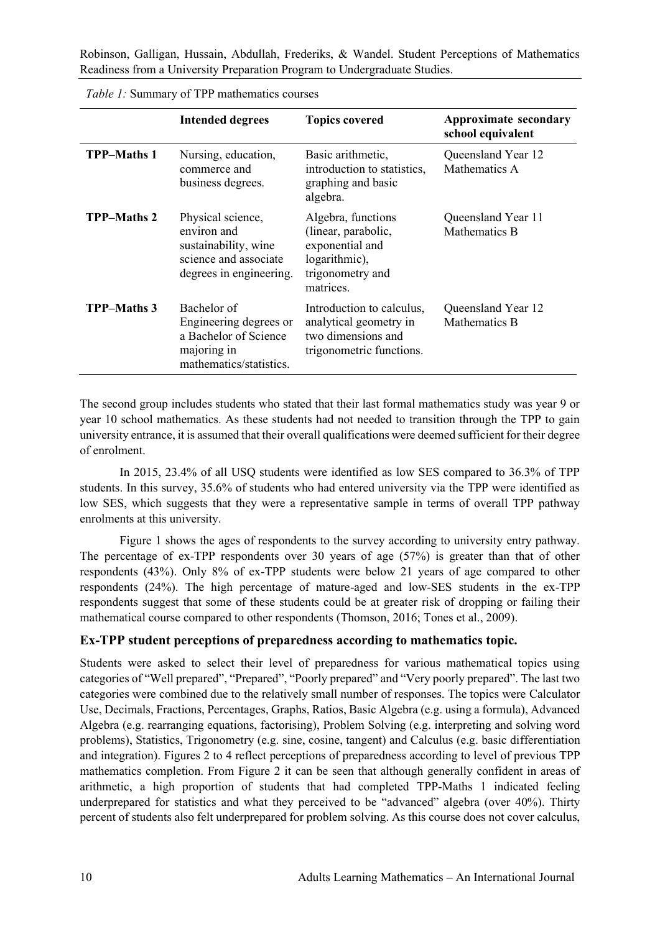|                    | <b>Intended degrees</b>                                                                                      | <b>Topics covered</b>                                                                                          | <b>Approximate secondary</b><br>school equivalent |
|--------------------|--------------------------------------------------------------------------------------------------------------|----------------------------------------------------------------------------------------------------------------|---------------------------------------------------|
| <b>TPP-Maths 1</b> | Nursing, education,<br>commerce and<br>business degrees.                                                     | Basic arithmetic,<br>introduction to statistics,<br>graphing and basic<br>algebra.                             | Queensland Year 12<br>Mathematics A               |
| <b>TPP-Maths 2</b> | Physical science,<br>environ and<br>sustainability, wine<br>science and associate<br>degrees in engineering. | Algebra, functions<br>(linear, parabolic,<br>exponential and<br>logarithmic),<br>trigonometry and<br>matrices. | Queensland Year 11<br>Mathematics B               |
| <b>TPP-Maths 3</b> | Bachelor of<br>Engineering degrees or<br>a Bachelor of Science<br>majoring in<br>mathematics/statistics.     | Introduction to calculus,<br>analytical geometry in<br>two dimensions and<br>trigonometric functions.          | Queensland Year 12<br>Mathematics B               |

*Table 1:* Summary of TPP mathematics courses

The second group includes students who stated that their last formal mathematics study was year 9 or year 10 school mathematics. As these students had not needed to transition through the TPP to gain university entrance, it is assumed that their overall qualifications were deemed sufficient for their degree of enrolment.

In 2015, 23.4% of all USQ students were identified as low SES compared to 36.3% of TPP students. In this survey, 35.6% of students who had entered university via the TPP were identified as low SES, which suggests that they were a representative sample in terms of overall TPP pathway enrolments at this university.

Figure 1 shows the ages of respondents to the survey according to university entry pathway. The percentage of ex-TPP respondents over 30 years of age (57%) is greater than that of other respondents (43%). Only 8% of ex-TPP students were below 21 years of age compared to other respondents (24%). The high percentage of mature-aged and low-SES students in the ex-TPP respondents suggest that some of these students could be at greater risk of dropping or failing their mathematical course compared to other respondents (Thomson, 2016; Tones et al., 2009).

### **Ex-TPP student perceptions of preparedness according to mathematics topic.**

Students were asked to select their level of preparedness for various mathematical topics using categories of "Well prepared", "Prepared", "Poorly prepared" and "Very poorly prepared". The last two categories were combined due to the relatively small number of responses. The topics were Calculator Use, Decimals, Fractions, Percentages, Graphs, Ratios, Basic Algebra (e.g. using a formula), Advanced Algebra (e.g. rearranging equations, factorising), Problem Solving (e.g. interpreting and solving word problems), Statistics, Trigonometry (e.g. sine, cosine, tangent) and Calculus (e.g. basic differentiation and integration). Figures 2 to 4 reflect perceptions of preparedness according to level of previous TPP mathematics completion. From Figure 2 it can be seen that although generally confident in areas of arithmetic, a high proportion of students that had completed TPP-Maths 1 indicated feeling underprepared for statistics and what they perceived to be "advanced" algebra (over 40%). Thirty percent of students also felt underprepared for problem solving. As this course does not cover calculus,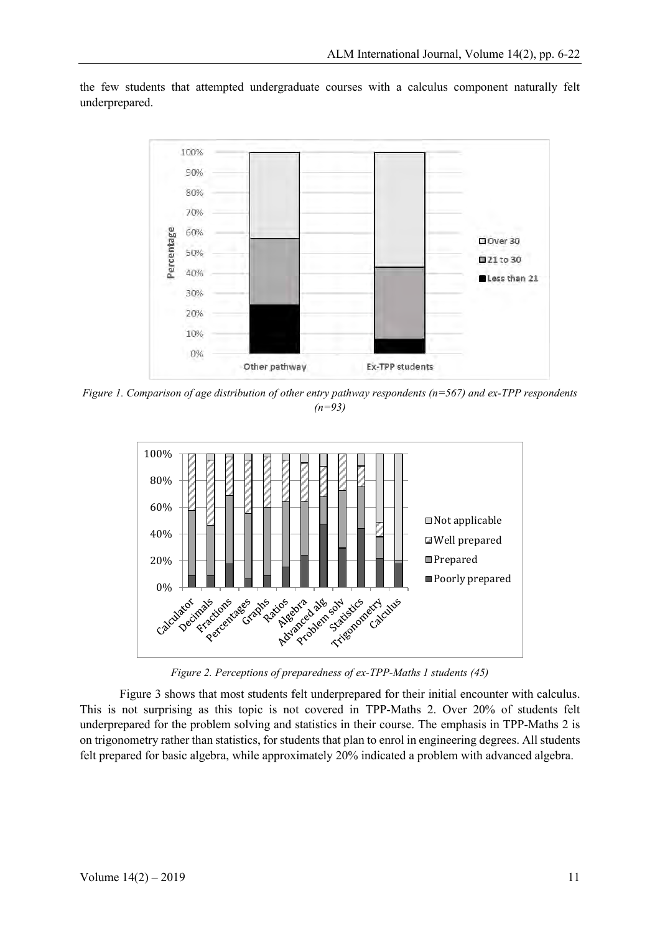the few students that attempted undergraduate courses with a calculus component naturally felt underprepared.



*Figure 1. Comparison of age distribution of other entry pathway respondents (n=567) and ex-TPP respondents (n=93)*



*Figure 2. Perceptions of preparedness of ex-TPP-Maths 1 students (45)*

Figure 3 shows that most students felt underprepared for their initial encounter with calculus. This is not surprising as this topic is not covered in TPP-Maths 2. Over 20% of students felt underprepared for the problem solving and statistics in their course. The emphasis in TPP-Maths 2 is on trigonometry rather than statistics, for students that plan to enrol in engineering degrees. All students felt prepared for basic algebra, while approximately 20% indicated a problem with advanced algebra.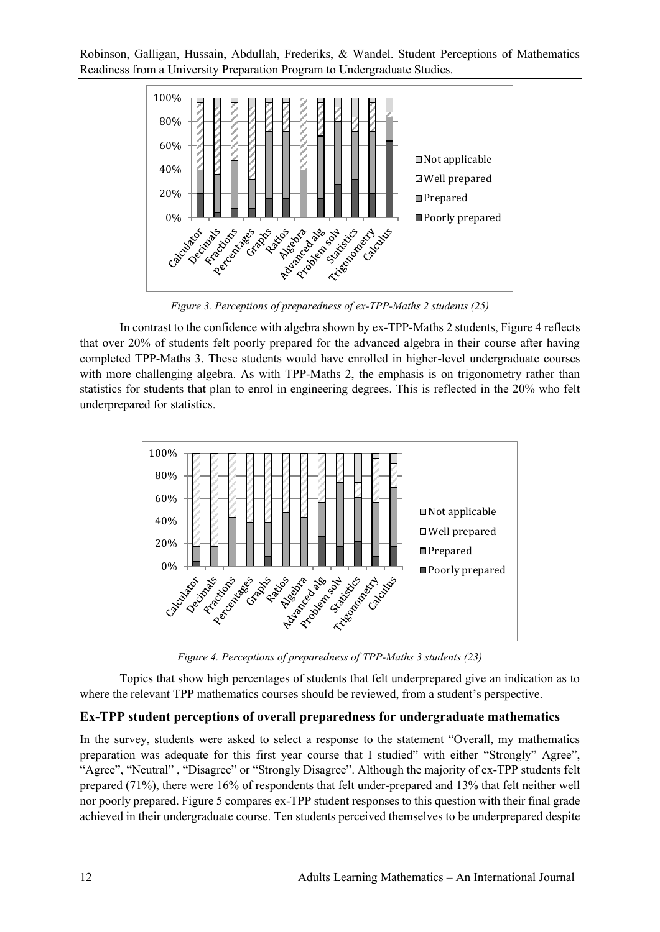

*Figure 3. Perceptions of preparedness of ex-TPP-Maths 2 students (25)*

In contrast to the confidence with algebra shown by ex-TPP-Maths 2 students, Figure 4 reflects that over 20% of students felt poorly prepared for the advanced algebra in their course after having completed TPP-Maths 3. These students would have enrolled in higher-level undergraduate courses with more challenging algebra. As with TPP-Maths 2, the emphasis is on trigonometry rather than statistics for students that plan to enrol in engineering degrees. This is reflected in the 20% who felt underprepared for statistics.



*Figure 4. Perceptions of preparedness of TPP-Maths 3 students (23)*

Topics that show high percentages of students that felt underprepared give an indication as to where the relevant TPP mathematics courses should be reviewed, from a student's perspective.

### **Ex-TPP student perceptions of overall preparedness for undergraduate mathematics**

In the survey, students were asked to select a response to the statement "Overall, my mathematics preparation was adequate for this first year course that I studied" with either "Strongly" Agree", "Agree", "Neutral" , "Disagree" or "Strongly Disagree". Although the majority of ex-TPP students felt prepared (71%), there were 16% of respondents that felt under-prepared and 13% that felt neither well nor poorly prepared. Figure 5 compares ex-TPP student responses to this question with their final grade achieved in their undergraduate course. Ten students perceived themselves to be underprepared despite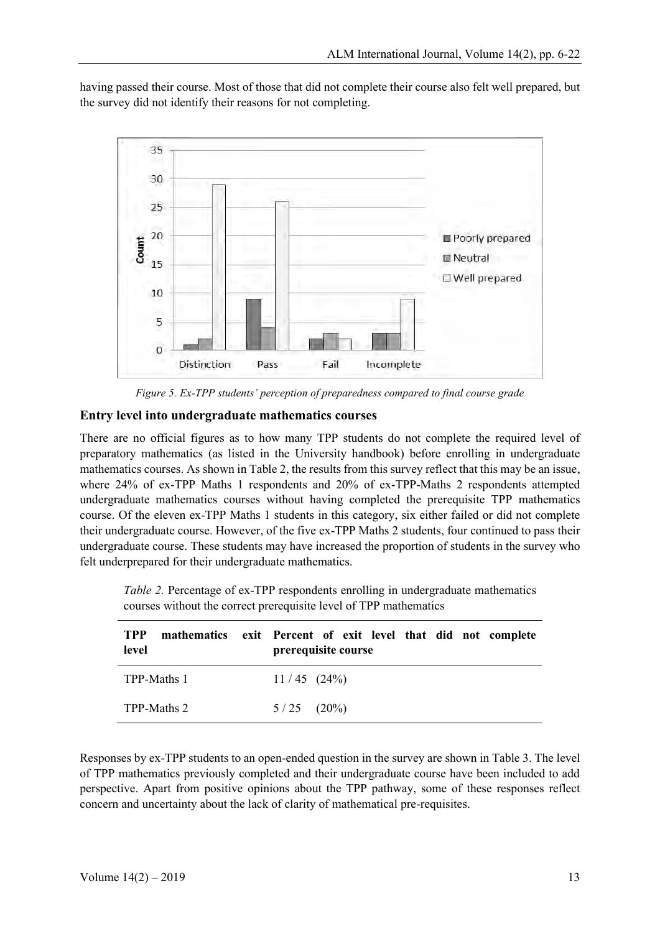having passed their course. Most of those that did not complete their course also felt well prepared, but the survey did not identify their reasons for not completing.



*Figure 5. Ex-TPP students' perception of preparedness compared to final course grade*

### **Entry level into undergraduate mathematics courses**

There are no official figures as to how many TPP students do not complete the required level of preparatory mathematics (as listed in the University handbook) before enrolling in undergraduate mathematics courses. As shown in Table 2, the results from this survey reflect that this may be an issue, where 24% of ex-TPP Maths 1 respondents and 20% of ex-TPP-Maths 2 respondents attempted undergraduate mathematics courses without having completed the prerequisite TPP mathematics course. Of the eleven ex-TPP Maths 1 students in this category, six either failed or did not complete their undergraduate course. However, of the five ex-TPP Maths 2 students, four continued to pass their undergraduate course. These students may have increased the proportion of students in the survey who felt underprepared for their undergraduate mathematics.

*Table 2.* Percentage of ex-TPP respondents enrolling in undergraduate mathematics courses without the correct prerequisite level of TPP mathematics

| <b>TPP</b><br>level | mathematics exit Percent of exit level that did not complete<br>prerequisite course |
|---------------------|-------------------------------------------------------------------------------------|
| TPP-Maths 1         | $11/45$ $(24\%)$                                                                    |
| TPP-Maths 2         | $5/25$ $(20\%)$                                                                     |

Responses by ex-TPP students to an open-ended question in the survey are shown in Table 3. The level of TPP mathematics previously completed and their undergraduate course have been included to add perspective. Apart from positive opinions about the TPP pathway, some of these responses reflect concern and uncertainty about the lack of clarity of mathematical pre-requisites.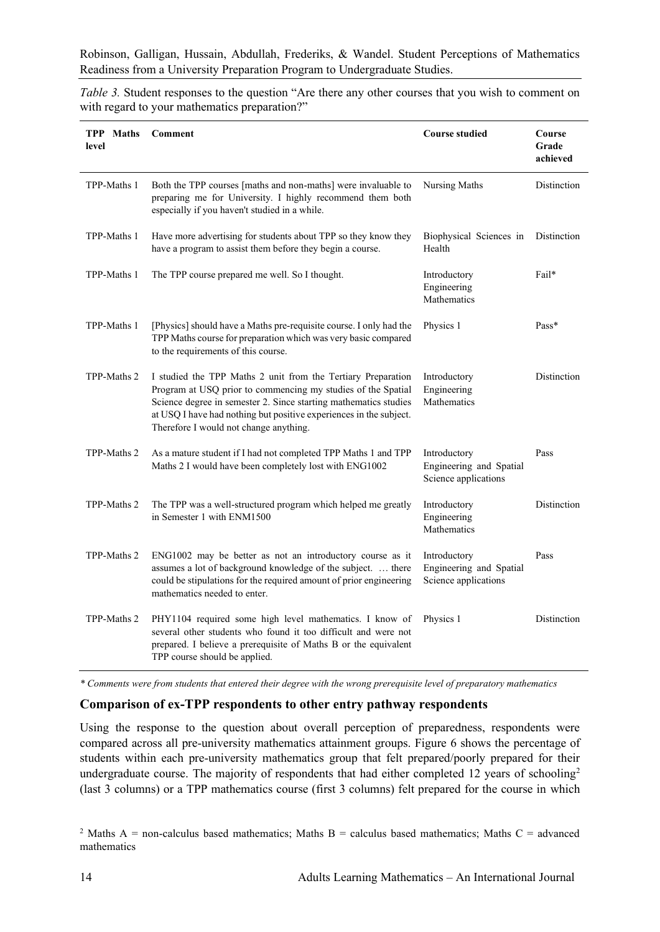*Table 3.* Student responses to the question "Are there any other courses that you wish to comment on with regard to your mathematics preparation?"

| <b>TPP</b> Maths<br>level | Comment                                                                                                                                                                                                                                                                                                          | <b>Course studied</b>                                           | Course<br>Grade<br>achieved |
|---------------------------|------------------------------------------------------------------------------------------------------------------------------------------------------------------------------------------------------------------------------------------------------------------------------------------------------------------|-----------------------------------------------------------------|-----------------------------|
| TPP-Maths 1               | Both the TPP courses [maths and non-maths] were invaluable to<br>preparing me for University. I highly recommend them both<br>especially if you haven't studied in a while.                                                                                                                                      | Nursing Maths                                                   | Distinction                 |
| TPP-Maths 1               | Have more advertising for students about TPP so they know they<br>have a program to assist them before they begin a course.                                                                                                                                                                                      | Biophysical Sciences in<br>Health                               | Distinction                 |
| TPP-Maths 1               | The TPP course prepared me well. So I thought.                                                                                                                                                                                                                                                                   | Introductory<br>Engineering<br>Mathematics                      | Fail*                       |
| TPP-Maths 1               | [Physics] should have a Maths pre-requisite course. I only had the<br>TPP Maths course for preparation which was very basic compared<br>to the requirements of this course.                                                                                                                                      | Physics 1                                                       | Pass*                       |
| TPP-Maths 2               | I studied the TPP Maths 2 unit from the Tertiary Preparation<br>Program at USQ prior to commencing my studies of the Spatial<br>Science degree in semester 2. Since starting mathematics studies<br>at USQ I have had nothing but positive experiences in the subject.<br>Therefore I would not change anything. | Introductory<br>Engineering<br>Mathematics                      | Distinction                 |
| TPP-Maths 2               | As a mature student if I had not completed TPP Maths 1 and TPP<br>Maths 2 I would have been completely lost with ENG1002                                                                                                                                                                                         | Introductory<br>Engineering and Spatial<br>Science applications | Pass                        |
| TPP-Maths 2               | The TPP was a well-structured program which helped me greatly<br>in Semester 1 with ENM1500                                                                                                                                                                                                                      | Introductory<br>Engineering<br>Mathematics                      | Distinction                 |
| TPP-Maths 2               | ENG1002 may be better as not an introductory course as it<br>assumes a lot of background knowledge of the subject.  there<br>could be stipulations for the required amount of prior engineering<br>mathematics needed to enter.                                                                                  | Introductory<br>Engineering and Spatial<br>Science applications | Pass                        |
| TPP-Maths 2               | PHY1104 required some high level mathematics. I know of<br>several other students who found it too difficult and were not<br>prepared. I believe a prerequisite of Maths B or the equivalent<br>TPP course should be applied.                                                                                    | Physics 1                                                       | Distinction                 |

*\* Comments were from students that entered their degree with the wrong prerequisite level of preparatory mathematics*

#### **Comparison of ex-TPP respondents to other entry pathway respondents**

Using the response to the question about overall perception of preparedness, respondents were compared across all pre-university mathematics attainment groups. Figure 6 shows the percentage of students within each pre-university mathematics group that felt prepared/poorly prepared for their undergraduate course. The majority of respondents that had either completed 12 years of schooling<sup>2</sup> (last 3 columns) or a TPP mathematics course (first 3 columns) felt prepared for the course in which

<sup>&</sup>lt;sup>2</sup> Maths A = non-calculus based mathematics; Maths B = calculus based mathematics; Maths C = advanced mathematics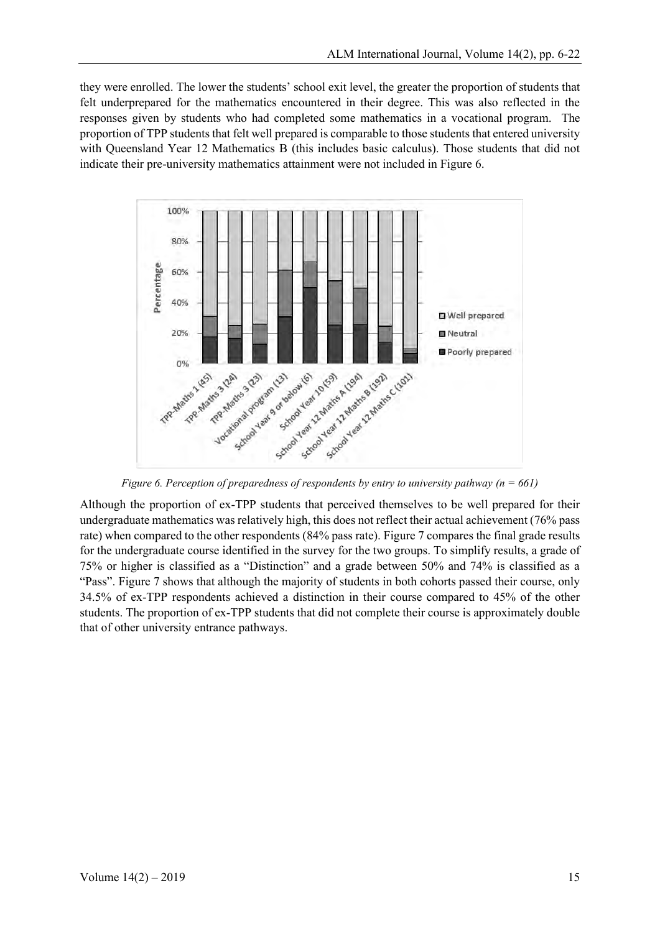they were enrolled. The lower the students' school exit level, the greater the proportion of students that felt underprepared for the mathematics encountered in their degree. This was also reflected in the responses given by students who had completed some mathematics in a vocational program. The proportion of TPP students that felt well prepared is comparable to those students that entered university with Queensland Year 12 Mathematics B (this includes basic calculus). Those students that did not indicate their pre-university mathematics attainment were not included in Figure 6.



*Figure 6. Perception of preparedness of respondents by entry to university pathway (n = 661)*

Although the proportion of ex-TPP students that perceived themselves to be well prepared for their undergraduate mathematics was relatively high, this does not reflect their actual achievement (76% pass rate) when compared to the other respondents (84% pass rate). Figure 7 compares the final grade results for the undergraduate course identified in the survey for the two groups. To simplify results, a grade of 75% or higher is classified as a "Distinction" and a grade between 50% and 74% is classified as a "Pass". Figure 7 shows that although the majority of students in both cohorts passed their course, only 34.5% of ex-TPP respondents achieved a distinction in their course compared to 45% of the other students. The proportion of ex-TPP students that did not complete their course is approximately double that of other university entrance pathways.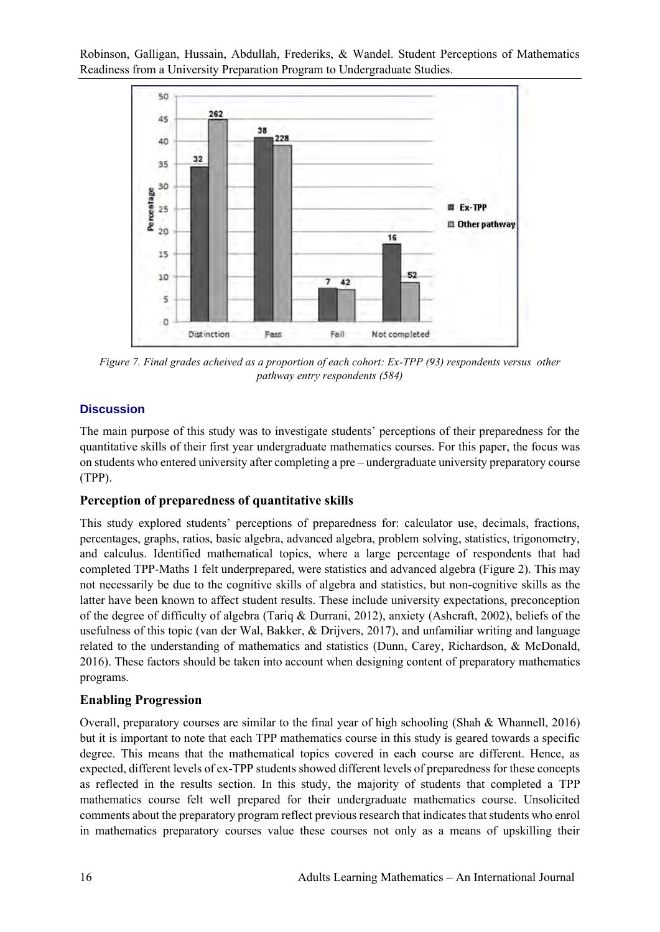

*Figure 7. Final grades acheived as a proportion of each cohort: Ex-TPP (93) respondents versus other pathway entry respondents (584)*

## **Discussion**

The main purpose of this study was to investigate students' perceptions of their preparedness for the quantitative skills of their first year undergraduate mathematics courses. For this paper, the focus was on students who entered university after completing a pre – undergraduate university preparatory course (TPP).

### **Perception of preparedness of quantitative skills**

This study explored students' perceptions of preparedness for: calculator use, decimals, fractions, percentages, graphs, ratios, basic algebra, advanced algebra, problem solving, statistics, trigonometry, and calculus. Identified mathematical topics, where a large percentage of respondents that had completed TPP-Maths 1 felt underprepared, were statistics and advanced algebra (Figure 2). This may not necessarily be due to the cognitive skills of algebra and statistics, but non-cognitive skills as the latter have been known to affect student results. These include university expectations, preconception of the degree of difficulty of algebra (Tariq & Durrani, 2012), anxiety (Ashcraft, 2002), beliefs of the usefulness of this topic (van der Wal, Bakker, & Drijvers, 2017), and unfamiliar writing and language related to the understanding of mathematics and statistics (Dunn, Carey, Richardson, & McDonald, 2016). These factors should be taken into account when designing content of preparatory mathematics programs.

### **Enabling Progression**

Overall, preparatory courses are similar to the final year of high schooling (Shah & Whannell, 2016) but it is important to note that each TPP mathematics course in this study is geared towards a specific degree. This means that the mathematical topics covered in each course are different. Hence, as expected, different levels of ex-TPP students showed different levels of preparedness for these concepts as reflected in the results section. In this study, the majority of students that completed a TPP mathematics course felt well prepared for their undergraduate mathematics course. Unsolicited comments about the preparatory program reflect previous research that indicates that students who enrol in mathematics preparatory courses value these courses not only as a means of upskilling their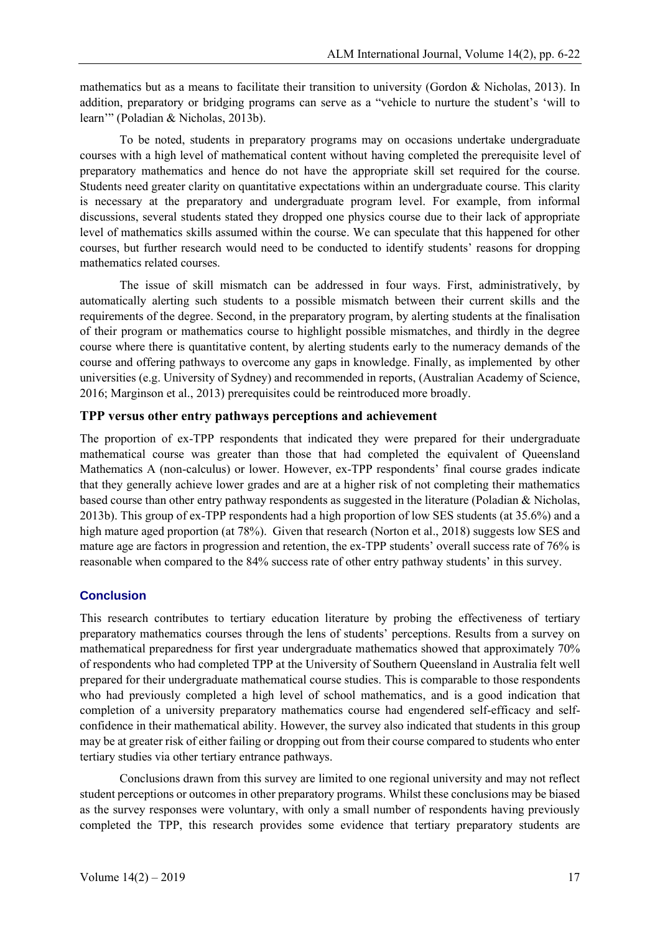mathematics but as a means to facilitate their transition to university (Gordon & Nicholas, 2013). In addition, preparatory or bridging programs can serve as a "vehicle to nurture the student's 'will to learn'" (Poladian & Nicholas, 2013b).

To be noted, students in preparatory programs may on occasions undertake undergraduate courses with a high level of mathematical content without having completed the prerequisite level of preparatory mathematics and hence do not have the appropriate skill set required for the course. Students need greater clarity on quantitative expectations within an undergraduate course. This clarity is necessary at the preparatory and undergraduate program level. For example, from informal discussions, several students stated they dropped one physics course due to their lack of appropriate level of mathematics skills assumed within the course. We can speculate that this happened for other courses, but further research would need to be conducted to identify students' reasons for dropping mathematics related courses.

The issue of skill mismatch can be addressed in four ways. First, administratively, by automatically alerting such students to a possible mismatch between their current skills and the requirements of the degree. Second, in the preparatory program, by alerting students at the finalisation of their program or mathematics course to highlight possible mismatches, and thirdly in the degree course where there is quantitative content, by alerting students early to the numeracy demands of the course and offering pathways to overcome any gaps in knowledge. Finally, as implemented by other universities (e.g. University of Sydney) and recommended in reports, (Australian Academy of Science, 2016; Marginson et al., 2013) prerequisites could be reintroduced more broadly.

### **TPP versus other entry pathways perceptions and achievement**

The proportion of ex-TPP respondents that indicated they were prepared for their undergraduate mathematical course was greater than those that had completed the equivalent of Queensland Mathematics A (non-calculus) or lower. However, ex-TPP respondents' final course grades indicate that they generally achieve lower grades and are at a higher risk of not completing their mathematics based course than other entry pathway respondents as suggested in the literature (Poladian & Nicholas, 2013b). This group of ex-TPP respondents had a high proportion of low SES students (at 35.6%) and a high mature aged proportion (at 78%). Given that research (Norton et al., 2018) suggests low SES and mature age are factors in progression and retention, the ex-TPP students' overall success rate of 76% is reasonable when compared to the 84% success rate of other entry pathway students' in this survey.

## **Conclusion**

This research contributes to tertiary education literature by probing the effectiveness of tertiary preparatory mathematics courses through the lens of students' perceptions. Results from a survey on mathematical preparedness for first year undergraduate mathematics showed that approximately 70% of respondents who had completed TPP at the University of Southern Queensland in Australia felt well prepared for their undergraduate mathematical course studies. This is comparable to those respondents who had previously completed a high level of school mathematics, and is a good indication that completion of a university preparatory mathematics course had engendered self-efficacy and selfconfidence in their mathematical ability. However, the survey also indicated that students in this group may be at greater risk of either failing or dropping out from their course compared to students who enter tertiary studies via other tertiary entrance pathways.

Conclusions drawn from this survey are limited to one regional university and may not reflect student perceptions or outcomes in other preparatory programs. Whilst these conclusions may be biased as the survey responses were voluntary, with only a small number of respondents having previously completed the TPP, this research provides some evidence that tertiary preparatory students are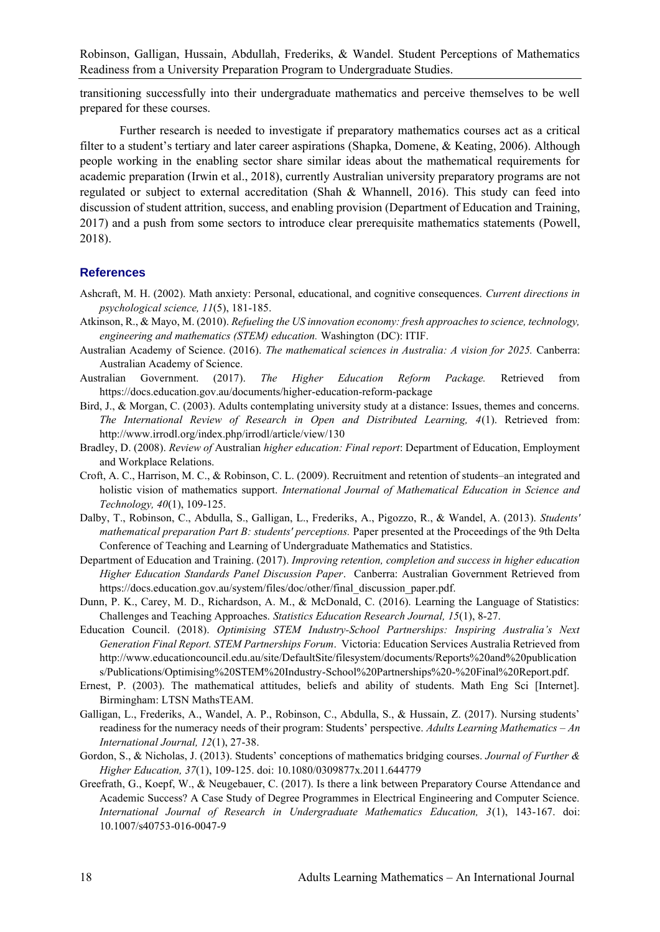transitioning successfully into their undergraduate mathematics and perceive themselves to be well prepared for these courses.

Further research is needed to investigate if preparatory mathematics courses act as a critical filter to a student's tertiary and later career aspirations (Shapka, Domene, & Keating, 2006). Although people working in the enabling sector share similar ideas about the mathematical requirements for academic preparation (Irwin et al., 2018), currently Australian university preparatory programs are not regulated or subject to external accreditation (Shah & Whannell, 2016). This study can feed into discussion of student attrition, success, and enabling provision (Department of Education and Training, 2017) and a push from some sectors to introduce clear prerequisite mathematics statements (Powell, 2018).

#### **References**

- Ashcraft, M. H. (2002). Math anxiety: Personal, educational, and cognitive consequences. *Current directions in psychological science, 11*(5), 181-185.
- Atkinson, R., & Mayo, M. (2010). *Refueling the US innovation economy: fresh approaches to science, technology, engineering and mathematics (STEM) education.* Washington (DC): ITIF.
- Australian Academy of Science. (2016). *The mathematical sciences in Australia: A vision for 2025.* Canberra: Australian Academy of Science.
- Australian Government. (2017). *The Higher Education Reform Package.* Retrieved from https://docs.education.gov.au/documents/higher-education-reform-package
- Bird, J., & Morgan, C. (2003). Adults contemplating university study at a distance: Issues, themes and concerns. *The International Review of Research in Open and Distributed Learning, 4*(1). Retrieved from: http://www.irrodl.org/index.php/irrodl/article/view/130
- Bradley, D. (2008). *Review of* Australian *higher education: Final report*: Department of Education, Employment and Workplace Relations.
- Croft, A. C., Harrison, M. C., & Robinson, C. L. (2009). Recruitment and retention of students–an integrated and holistic vision of mathematics support. *International Journal of Mathematical Education in Science and Technology, 40*(1), 109-125.
- Dalby, T., Robinson, C., Abdulla, S., Galligan, L., Frederiks, A., Pigozzo, R., & Wandel, A. (2013). *Students' mathematical preparation Part B: students' perceptions.* Paper presented at the Proceedings of the 9th Delta Conference of Teaching and Learning of Undergraduate Mathematics and Statistics.
- Department of Education and Training. (2017). *Improving retention, completion and success in higher education Higher Education Standards Panel Discussion Paper*. Canberra: Australian Government Retrieved from https://docs.education.gov.au/system/files/doc/other/final\_discussion\_paper.pdf.
- Dunn, P. K., Carey, M. D., Richardson, A. M., & McDonald, C. (2016). Learning the Language of Statistics: Challenges and Teaching Approaches. *Statistics Education Research Journal, 15*(1), 8-27.
- Education Council. (2018). *Optimising STEM Industry-School Partnerships: Inspiring Australia's Next Generation Final Report. STEM Partnerships Forum*. Victoria: Education Services Australia Retrieved from http://www.educationcouncil.edu.au/site/DefaultSite/filesystem/documents/Reports%20and%20publication s/Publications/Optimising%20STEM%20Industry-School%20Partnerships%20-%20Final%20Report.pdf.
- Ernest, P. (2003). The mathematical attitudes, beliefs and ability of students. Math Eng Sci [Internet]. Birmingham: LTSN MathsTEAM.
- Galligan, L., Frederiks, A., Wandel, A. P., Robinson, C., Abdulla, S., & Hussain, Z. (2017). Nursing students' readiness for the numeracy needs of their program: Students' perspective. *Adults Learning Mathematics – An International Journal, 12*(1), 27-38.
- Gordon, S., & Nicholas, J. (2013). Students' conceptions of mathematics bridging courses. *Journal of Further & Higher Education, 37*(1), 109-125. doi: 10.1080/0309877x.2011.644779
- Greefrath, G., Koepf, W., & Neugebauer, C. (2017). Is there a link between Preparatory Course Attendance and Academic Success? A Case Study of Degree Programmes in Electrical Engineering and Computer Science. *International Journal of Research in Undergraduate Mathematics Education, 3*(1), 143-167. doi: 10.1007/s40753-016-0047-9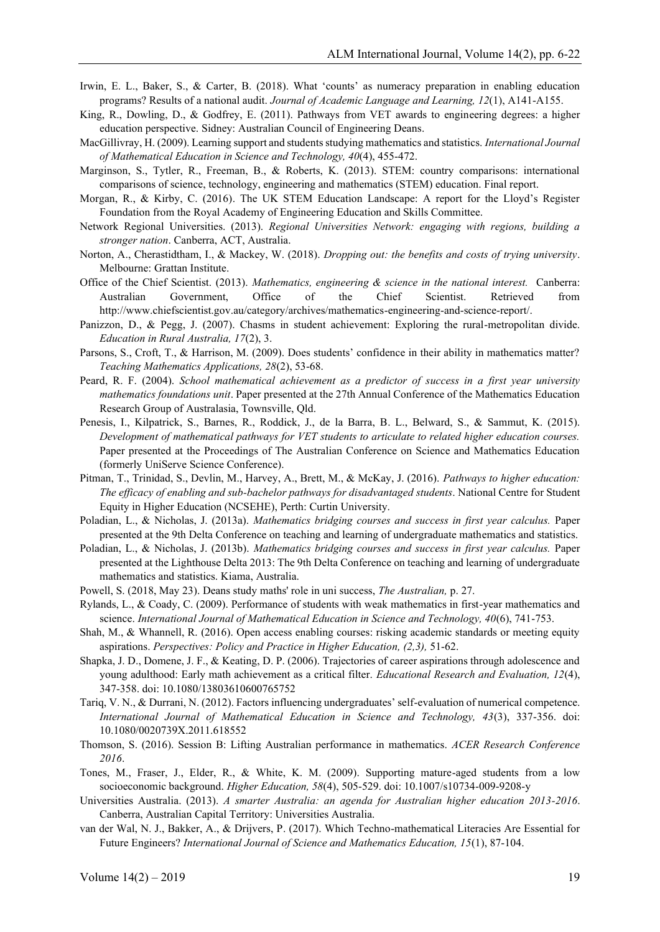- Irwin, E. L., Baker, S., & Carter, B. (2018). What 'counts' as numeracy preparation in enabling education programs? Results of a national audit. *Journal of Academic Language and Learning, 12*(1), A141-A155.
- King, R., Dowling, D., & Godfrey, E. (2011). Pathways from VET awards to engineering degrees: a higher education perspective. Sidney: Australian Council of Engineering Deans.
- MacGillivray, H. (2009). Learning support and students studying mathematics and statistics. *International Journal of Mathematical Education in Science and Technology, 40*(4), 455-472.
- Marginson, S., Tytler, R., Freeman, B., & Roberts, K. (2013). STEM: country comparisons: international comparisons of science, technology, engineering and mathematics (STEM) education. Final report.
- Morgan, R., & Kirby, C. (2016). The UK STEM Education Landscape: A report for the Lloyd's Register Foundation from the Royal Academy of Engineering Education and Skills Committee.
- Network Regional Universities. (2013). *Regional Universities Network: engaging with regions, building a stronger nation*. Canberra, ACT, Australia.
- Norton, A., Cherastidtham, I., & Mackey, W. (2018). *Dropping out: the benefits and costs of trying university*. Melbourne: Grattan Institute.
- Office of the Chief Scientist. (2013). *Mathematics, engineering & science in the national interest.* Canberra: Australian Government, Office of the Chief Scientist. Retrieved from http://www.chiefscientist.gov.au/category/archives/mathematics-engineering-and-science-report/.
- Panizzon, D., & Pegg, J. (2007). Chasms in student achievement: Exploring the rural-metropolitan divide. *Education in Rural Australia, 17*(2), 3.
- Parsons, S., Croft, T., & Harrison, M. (2009). Does students' confidence in their ability in mathematics matter? *Teaching Mathematics Applications, 28*(2), 53-68.
- Peard, R. F. (2004). *School mathematical achievement as a predictor of success in a first year university mathematics foundations unit*. Paper presented at the 27th Annual Conference of the Mathematics Education Research Group of Australasia, Townsville, Qld.
- Penesis, I., Kilpatrick, S., Barnes, R., Roddick, J., de la Barra, B. L., Belward, S., & Sammut, K. (2015). *Development of mathematical pathways for VET students to articulate to related higher education courses.* Paper presented at the Proceedings of The Australian Conference on Science and Mathematics Education (formerly UniServe Science Conference).
- Pitman, T., Trinidad, S., Devlin, M., Harvey, A., Brett, M., & McKay, J. (2016). *Pathways to higher education: The efficacy of enabling and sub-bachelor pathways for disadvantaged students*. National Centre for Student Equity in Higher Education (NCSEHE), Perth: Curtin University.
- Poladian, L., & Nicholas, J. (2013a). *Mathematics bridging courses and success in first year calculus.* Paper presented at the 9th Delta Conference on teaching and learning of undergraduate mathematics and statistics.
- Poladian, L., & Nicholas, J. (2013b). *Mathematics bridging courses and success in first year calculus.* Paper presented at the Lighthouse Delta 2013: The 9th Delta Conference on teaching and learning of undergraduate mathematics and statistics. Kiama, Australia.
- Powell, S. (2018, May 23). Deans study maths' role in uni success, *The Australian,* p. 27.
- Rylands, L., & Coady, C. (2009). Performance of students with weak mathematics in first-year mathematics and science. *International Journal of Mathematical Education in Science and Technology, 40*(6), 741-753.
- Shah, M., & Whannell, R. (2016). Open access enabling courses: risking academic standards or meeting equity aspirations. *Perspectives: Policy and Practice in Higher Education, (2,3),* 51-62.
- Shapka, J. D., Domene, J. F., & Keating, D. P. (2006). Trajectories of career aspirations through adolescence and young adulthood: Early math achievement as a critical filter. *Educational Research and Evaluation, 12*(4), 347-358. doi: 10.1080/13803610600765752
- Tariq, V. N., & Durrani, N. (2012). Factors influencing undergraduates' self-evaluation of numerical competence. *International Journal of Mathematical Education in Science and Technology, 43*(3), 337-356. doi: 10.1080/0020739X.2011.618552
- Thomson, S. (2016). Session B: Lifting Australian performance in mathematics. *ACER Research Conference 2016*.
- Tones, M., Fraser, J., Elder, R., & White, K. M. (2009). Supporting mature-aged students from a low socioeconomic background. *Higher Education, 58*(4), 505-529. doi: 10.1007/s10734-009-9208-y
- Universities Australia. (2013). *A smarter Australia: an agenda for Australian higher education 2013-2016*. Canberra, Australian Capital Territory: Universities Australia.
- van der Wal, N. J., Bakker, A., & Drijvers, P. (2017). Which Techno-mathematical Literacies Are Essential for Future Engineers? *International Journal of Science and Mathematics Education, 15*(1), 87-104.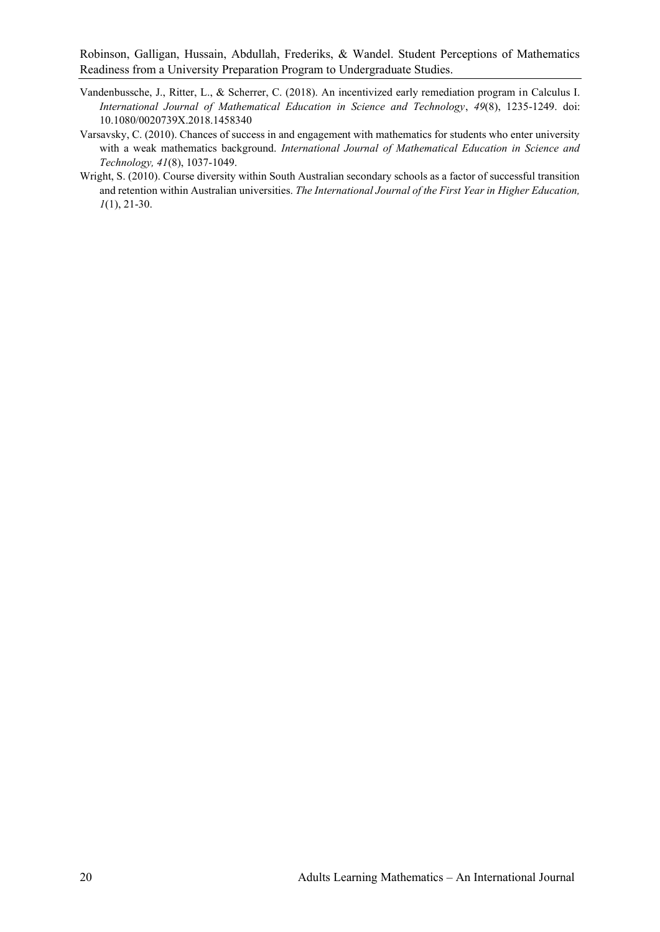- Vandenbussche, J., Ritter, L., & Scherrer, C. (2018). An incentivized early remediation program in Calculus I. *International Journal of Mathematical Education in Science and Technology*, *49*(8), 1235-1249. doi: 10.1080/0020739X.2018.1458340
- Varsavsky, C. (2010). Chances of success in and engagement with mathematics for students who enter university with a weak mathematics background. *International Journal of Mathematical Education in Science and Technology, 41*(8), 1037-1049.
- Wright, S. (2010). Course diversity within South Australian secondary schools as a factor of successful transition and retention within Australian universities. *The International Journal of the First Year in Higher Education, 1*(1), 21-30.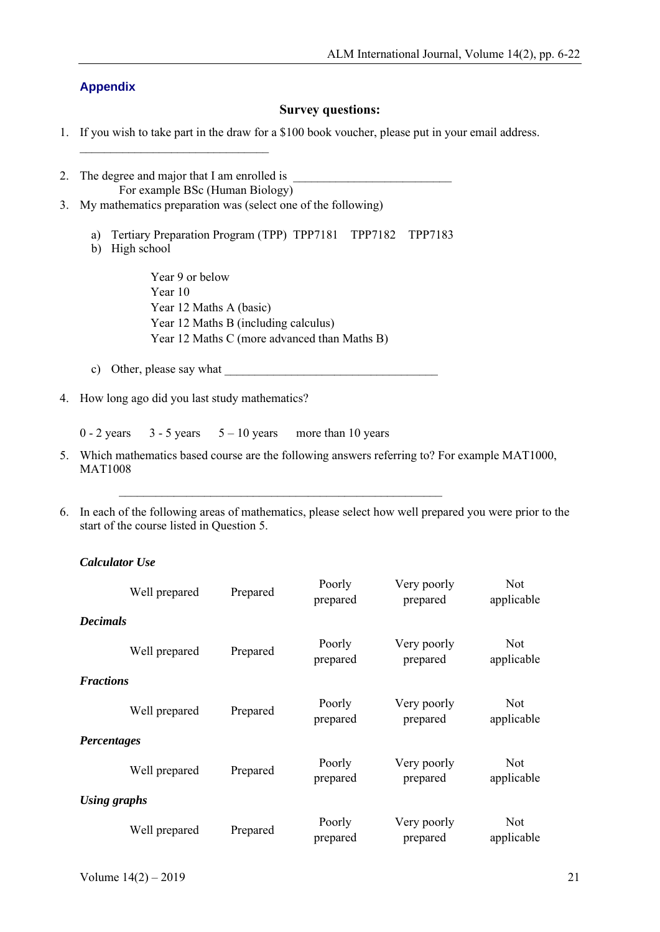### **Appendix**

### **Survey questions:**

- 1. If you wish to take part in the draw for a \$100 book voucher, please put in your email address.
- 2. The degree and major that I am enrolled is For example BSc (Human Biology)
- 3. My mathematics preparation was (select one of the following)

\_\_\_\_\_\_\_\_\_\_\_\_\_\_\_\_\_\_\_\_\_\_\_\_\_\_\_\_\_\_\_

- a) Tertiary Preparation Program (TPP) TPP7181 TPP7182 TPP7183
- b) High school

Year 9 or below Year 10 Year 12 Maths A (basic) Year 12 Maths B (including calculus) Year 12 Maths C (more advanced than Maths B)

- c) Other, please say what
- 4. How long ago did you last study mathematics?

 $0 - 2$  years  $3 - 5$  years  $5 - 10$  years more than 10 years

5. Which mathematics based course are the following answers referring to? For example MAT1000, MAT1008

 $\mathcal{L}_\text{max}$  and  $\mathcal{L}_\text{max}$  and  $\mathcal{L}_\text{max}$  and  $\mathcal{L}_\text{max}$  and  $\mathcal{L}_\text{max}$ 

6. In each of the following areas of mathematics, please select how well prepared you were prior to the start of the course listed in Question 5.

### *Calculator Use*

|                    | Well prepared | Prepared | Poorly<br>prepared | Very poorly<br>prepared | <b>Not</b><br>applicable |
|--------------------|---------------|----------|--------------------|-------------------------|--------------------------|
| <b>Decimals</b>    |               |          |                    |                         |                          |
|                    | Well prepared | Prepared | Poorly<br>prepared | Very poorly<br>prepared | <b>Not</b><br>applicable |
| <b>Fractions</b>   |               |          |                    |                         |                          |
|                    | Well prepared | Prepared | Poorly<br>prepared | Very poorly<br>prepared | <b>Not</b><br>applicable |
| <b>Percentages</b> |               |          |                    |                         |                          |
|                    | Well prepared | Prepared | Poorly<br>prepared | Very poorly<br>prepared | <b>Not</b><br>applicable |
| Using graphs       |               |          |                    |                         |                          |
|                    | Well prepared | Prepared | Poorly<br>prepared | Very poorly<br>prepared | <b>Not</b><br>applicable |